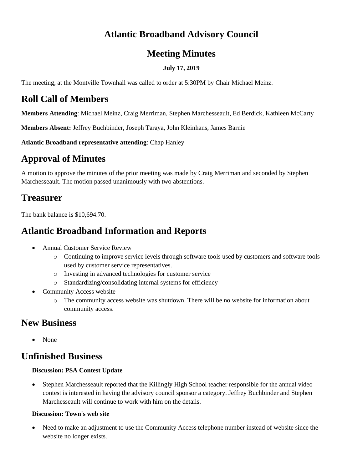### **Atlantic Broadband Advisory Council**

#### **Meeting Minutes**

#### **July 17, 2019**

The meeting, at the Montville Townhall was called to order at 5:30PM by Chair Michael Meinz.

### **Roll Call of Members**

**Members Attending**: Michael Meinz, Craig Merriman, Stephen Marchesseault, Ed Berdick, Kathleen McCarty

**Members Absent:** Jeffrey Buchbinder, Joseph Taraya, John Kleinhans, James Barnie

**Atlantic Broadband representative attending**: Chap Hanley

# **Approval of Minutes**

A motion to approve the minutes of the prior meeting was made by Craig Merriman and seconded by Stephen Marchesseault. The motion passed unanimously with two abstentions.

## **Treasurer**

The bank balance is \$10,694.70.

## **Atlantic Broadband Information and Reports**

- Annual Customer Service Review
	- o Continuing to improve service levels through software tools used by customers and software tools used by customer service representatives.
	- o Investing in advanced technologies for customer service
	- o Standardizing/consolidating internal systems for efficiency
- **Community Access website** 
	- o The community access website was shutdown. There will be no website for information about community access.

## **New Business**

• None

# **Unfinished Business**

#### **Discussion: PSA Contest Update**

• Stephen Marchesseault reported that the Killingly High School teacher responsible for the annual video contest is interested in having the advisory council sponsor a category. Jeffrey Buchbinder and Stephen Marchesseault will continue to work with him on the details.

#### **Discussion: Town's web site**

• Need to make an adjustment to use the Community Access telephone number instead of website since the website no longer exists.